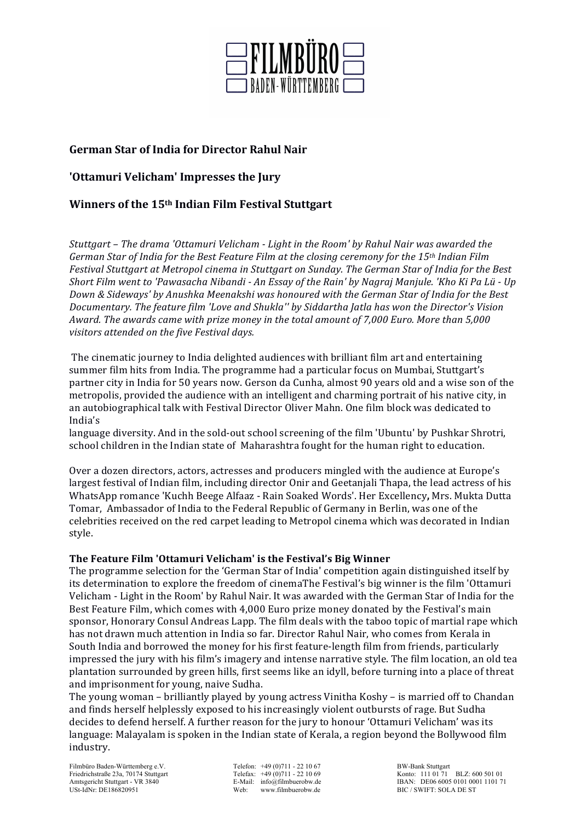

# **German Star of India for Director Rahul Nair**

**'Ottamuri Velicham' Impresses the Jury** 

## **Winners of the 15<sup>th</sup> Indian Film Festival Stuttgart**

Stuttgart - The drama 'Ottamuri Velicham - Light in the Room' by Rahul Nair was awarded the *German Star of India for the Best Feature Film at the closing ceremony for the 15th Indian Film* Festival Stuttgart at Metropol cinema in Stuttgart on Sunday. The German Star of India for the Best Short Film went to 'Pawasacha Nibandi - An Essay of the Rain' by Nagraj Manjule. 'Kho Ki Pa Lü - Up Down & Sideways' by Anushka Meenakshi was honoured with the German Star of India for the Best *Documentary.* The feature film 'Love and Shukla'' by Siddartha Jatla has won the Director's Vision Award. The awards came with prize money in the total amount of 7,000 Euro. More than 5,000 *visitors attended on the five Festival days.*

The cinematic journey to India delighted audiences with brilliant film art and entertaining summer film hits from India. The programme had a particular focus on Mumbai, Stuttgart's partner city in India for 50 years now. Gerson da Cunha, almost 90 years old and a wise son of the metropolis, provided the audience with an intelligent and charming portrait of his native city, in an autobiographical talk with Festival Director Oliver Mahn. One film block was dedicated to India's

language diversity. And in the sold-out school screening of the film 'Ubuntu' by Pushkar Shrotri, school children in the Indian state of Maharashtra fought for the human right to education.

Over a dozen directors, actors, actresses and producers mingled with the audience at Europe's largest festival of Indian film, including director Onir and Geetanjali Thapa, the lead actress of his WhatsApp romance 'Kuchh Beege Alfaaz - Rain Soaked Words'. Her Excellency, Mrs. Mukta Dutta Tomar, Ambassador of India to the Federal Republic of Germany in Berlin, was one of the celebrities received on the red carpet leading to Metropol cinema which was decorated in Indian style. 

#### The Feature Film 'Ottamuri Velicham' is the Festival's Big Winner

The programme selection for the 'German Star of India' competition again distinguished itself by its determination to explore the freedom of cinemaThe Festival's big winner is the film 'Ottamuri Velicham - Light in the Room' by Rahul Nair. It was awarded with the German Star of India for the Best Feature Film, which comes with 4,000 Euro prize money donated by the Festival's main sponsor, Honorary Consul Andreas Lapp. The film deals with the taboo topic of martial rape which has not drawn much attention in India so far. Director Rahul Nair, who comes from Kerala in South India and borrowed the money for his first feature-length film from friends, particularly impressed the jury with his film's imagery and intense narrative style. The film location, an old tea plantation surrounded by green hills, first seems like an idyll, before turning into a place of threat and imprisonment for young, naive Sudha.

The young woman – brilliantly played by young actress Vinitha Koshy – is married off to Chandan and finds herself helplessly exposed to his increasingly violent outbursts of rage. But Sudha decides to defend herself. A further reason for the jury to honour 'Ottamuri Velicham' was its language: Malayalam is spoken in the Indian state of Kerala, a region beyond the Bollywood film industry. 

Filmbüro Baden-Württemberg e.V.<br>
Friedrichstraße 23a, 70174 Stuttgart<br>
Telefax: +49 (0)711 - 22 10 69 BW-Bank Stuttgart<br>
Konto: 111 01 71 USt-IdNr: DE186820951 Web: www.filmbuerobw.de BIC / SWIFT: SOLA DE ST

Friedrichstraße 23a, 70174 Stuttgart Telefax: +49 (0)711 - 22 10 69 Konto: 111 01 71 BLZ: 600 501 01<br>Amtsgericht Stuttgart - VR 3840 E-Mail: info@filmbuerobw.de IBAN: DE06 6005 0101 0001 1101 7 IBAN: DE06 6005 0101 0001 1101 71